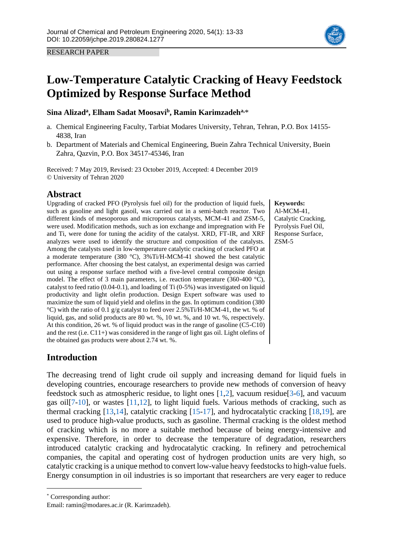

# **Low-Temperature Catalytic Cracking of Heavy Feedstock Optimized by Response Surface Method**

## **Sina Alizad<sup>a</sup> , Elham Sadat Moosavi<sup>b</sup> , Ramin Karimzadeha,**\*

- a. Chemical Engineering Faculty, Tarbiat Modares University, Tehran, Tehran, P.O. Box 14155- 4838, Iran
- b. Department of Materials and Chemical Engineering, Buein Zahra Technical University, Buein Zahra, Qazvin, P.O. Box 34517-45346, Iran

Received: 7 May 2019, Revised: 23 October 2019, Accepted: 4 December 2019 © University of Tehran 2020

# **Abstract**

Upgrading of cracked PFO (Pyrolysis fuel oil) for the production of liquid fuels, such as gasoline and light gasoil, was carried out in a semi-batch reactor. Two different kinds of mesoporous and microporous catalysts, MCM-41 and ZSM-5, were used. Modification methods, such as ion exchange and impregnation with Fe and Ti, were done for tuning the acidity of the catalyst. XRD, FT-IR, and XRF analyzes were used to identify the structure and composition of the catalysts. Among the catalysts used in low-temperature catalytic cracking of cracked PFO at a moderate temperature (380 °C), 3%Ti/H-MCM-41 showed the best catalytic performance. After choosing the best catalyst, an experimental design was carried out using a response surface method with a five-level central composite design model. The effect of 3 main parameters, i.e. reaction temperature (360-400 °C), catalyst to feed ratio  $(0.04-0.1)$ , and loading of Ti  $(0-5%)$  was investigated on liquid productivity and light olefin production. Design Expert software was used to maximize the sum of liquid yield and olefins in the gas. In optimum condition (380 °C) with the ratio of 0.1 g/g catalyst to feed over 2.5%Ti/H-MCM-41, the wt. % of liquid, gas, and solid products are 80 wt. %, 10 wt. %, and 10 wt. %, respectively. At this condition, 26 wt. % of liquid product was in the range of gasoline (C5-C10) and the rest (i.e. C11+) was considered in the range of light gas oil. Light olefins of the obtained gas products were about 2.74 wt. %.

# **Introduction**

The decreasing trend of light crude oil supply and increasing demand for liquid fuels in developing countries, encourage researchers to provide new methods of conversion of heavy feedstock such as atmospheric residue, to light ones [\[1](#page-18-0)[,2\]](#page-19-0), vacuum residue[\[3](#page-19-1)[-6\]](#page-19-2), and vacuum gas oil[\[7](#page-19-3)[-10\]](#page-19-4), or wastes [\[11](#page-19-5)[,12\]](#page-19-6), to light liquid fuels. Various methods of cracking, such as thermal cracking [\[13](#page-19-6)[,14\]](#page-19-7), catalytic cracking [\[15](#page-19-8)[-17\]](#page-19-9), and hydrocatalytic cracking [\[18](#page-19-10)[,19\]](#page-19-11), are used to produce high-value products, such as gasoline. Thermal cracking is the oldest method of cracking which is no more a suitable method because of being energy-intensive and expensive. Therefore, in order to decrease the temperature of degradation, researchers introduced catalytic cracking and hydrocatalytic cracking. In refinery and petrochemical companies, the capital and operating cost of hydrogen production units are very high, so catalytic cracking is a unique method to convert low-value heavy feedstocks to high-value fuels. Energy consumption in oil industries is so important that researchers are very eager to reduce

**Keywords:** Al-MCM-41, Catalytic Cracking, Pyrolysis Fuel Oil, Response Surface, ZSM-5

<sup>\*</sup> Corresponding author:

Email: ramin@modares.ac.ir (R. Karimzadeh).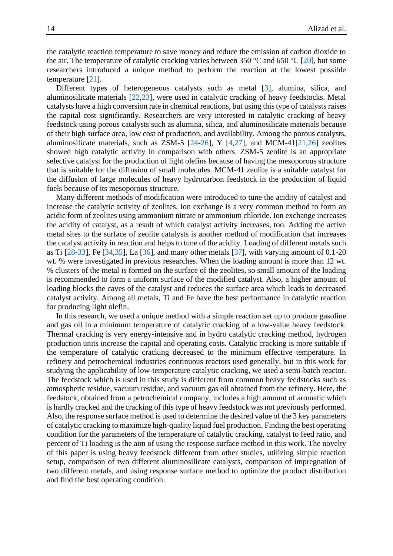the catalytic reaction temperature to save money and reduce the emission of carbon dioxide to the air. The temperature of catalytic cracking varies between 350 °C and 650 °C [\[20\]](#page-19-12), but some researchers introduced a unique method to perform the reaction at the lowest possible temperature [\[21\]](#page-20-0).

Different types of heterogeneous catalysts such as metal [\[3\]](#page-19-1), alumina, silica, and aluminosilicate materials [\[22](#page-20-1)[,23\]](#page-20-2), were used in catalytic cracking of heavy feedstocks. Metal catalysts have a high conversion rate in chemical reactions, but using this type of catalysts raises the capital cost significantly. Researchers are very interested in catalytic cracking of heavy feedstock using porous catalysts such as alumina, silica, and aluminosilicate materials because of their high surface area, low cost of production, and availability. Among the porous catalysts, aluminosilicate materials, such as ZSM-5  $[24-26]$  $[24-26]$ , Y  $[4,27]$  $[4,27]$ , and MCM-41 $[21,26]$  $[21,26]$  zeolites showed high catalytic activity in comparison with others. ZSM-5 zeolite is an appropriate selective catalyst for the production of light olefins because of having the mesoporous structure that is suitable for the diffusion of small molecules. MCM-41 zeolite is a suitable catalyst for the diffusion of large molecules of heavy hydrocarbon feedstock in the production of liquid fuels because of its mesoporous structure.

Many different methods of modification were introduced to tune the acidity of catalyst and increase the catalytic activity of zeolites. Ion exchange is a very common method to form an acidic form of zeolites using ammonium nitrate or ammonium chloride. Ion exchange increases the acidity of catalyst, as a result of which catalyst activity increases, too. Adding the active metal sites to the surface of zeolite catalysts is another method of modification that increases the catalyst activity in reaction and helps to tune of the acidity. Loading of different metals such as Ti [\[28-](#page-20-6)[33\]](#page-20-7), Fe [\[34](#page-20-8)[,35\]](#page-20-9), La [\[36\]](#page-20-10), and many other metals [\[37\]](#page-20-11), with varying amount of 0.1-20 wt. % were investigated in previous researches. When the loading amount is more than 12 wt. % clusters of the metal is formed on the surface of the zeolites, so small amount of the loading is recommended to form a uniform surface of the modified catalyst. Also, a higher amount of loading blocks the caves of the catalyst and reduces the surface area which leads to decreased catalyst activity. Among all metals, Ti and Fe have the best performance in catalytic reaction for producing light olefin.

In this research, we used a unique method with a simple reaction set up to produce gasoline and gas oil in a minimum temperature of catalytic cracking of a low-value heavy feedstock. Thermal cracking is very energy-intensive and in hydro catalytic cracking method, hydrogen production units increase the capital and operating costs. Catalytic cracking is more suitable if the temperature of catalytic cracking decreased to the minimum effective temperature. In refinery and petrochemical industries continuous reactors used generally, but in this work for studying the applicability of low-temperature catalytic cracking, we used a semi-batch reactor. The feedstock which is used in this study is different from common heavy feedstocks such as atmospheric residue, vacuum residue, and vacuum gas oil obtained from the refinery. Here, the feedstock, obtained from a petrochemical company, includes a high amount of aromatic which is hardly cracked and the cracking of this type of heavy feedstock was not previously performed. Also, the response surface method is used to determine the desired value of the 3 key parameters of catalytic cracking to maximize high-quality liquid fuel production. Finding the best operating condition for the parameters of the temperature of catalytic cracking, catalyst to feed ratio, and percent of Ti loading is the aim of using the response surface method in this work. The novelty of this paper is using heavy feedstock different from other studies, utilizing simple reaction setup, comparison of two different aluminosilicate catalysts, comparison of impregnation of two different metals, and using response surface method to optimize the product distribution and find the best operating condition.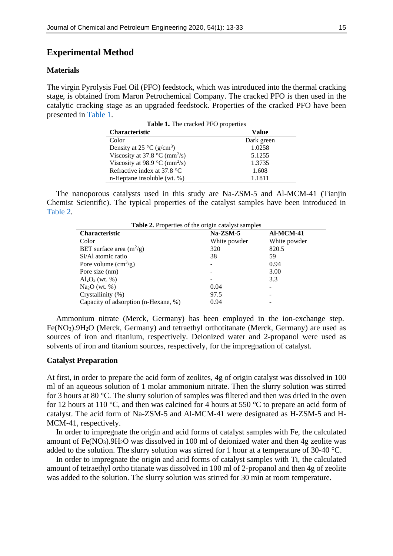# **Experimental Method**

#### **Materials**

<span id="page-2-0"></span>The virgin Pyrolysis Fuel Oil (PFO) feedstock, which was introduced into the thermal cracking stage, is obtained from Maron Petrochemical Company. The cracked PFO is then used in the catalytic cracking stage as an upgraded feedstock. Properties of the cracked PFO have been presented in [Table 1.](#page-2-0)

**Table 1.** The cracked PFO properties

| <b>Characteristic</b>                               | Value      |
|-----------------------------------------------------|------------|
| Color                                               | Dark green |
| Density at 25 $\rm{^{\circ}C}$ (g/cm <sup>3</sup> ) | 1.0258     |
| Viscosity at 37.8 $^{\circ}$ C (mm <sup>2</sup> /s) | 5.1255     |
| Viscosity at 98.9 $\degree$ C (mm <sup>2</sup> /s)  | 1.3735     |
| Refractive index at 37.8 °C                         | 1.608      |
| n-Heptane insoluble (wt. %)                         | 1.1811     |

The nanoporous catalysts used in this study are Na-ZSM-5 and Al-MCM-41 (Tianjin Chemist Scientific). The typical properties of the catalyst samples have been introduced in [Table 2.](#page-2-1)

<span id="page-2-1"></span>

| <b>Table 2.</b> Properties of the origin catalyst samples |              |              |  |  |  |  |  |  |  |
|-----------------------------------------------------------|--------------|--------------|--|--|--|--|--|--|--|
| <b>Characteristic</b>                                     | $Na-ZSM-5$   | Al-MCM-41    |  |  |  |  |  |  |  |
| Color                                                     | White powder | White powder |  |  |  |  |  |  |  |
| BET surface area $(m^2/g)$                                | 320          | 820.5        |  |  |  |  |  |  |  |
| Si/Al atomic ratio                                        | 38           | 59           |  |  |  |  |  |  |  |
| Pore volume $\text{cm}^3\text{/g}$ )                      |              | 0.94         |  |  |  |  |  |  |  |
| Pore size (nm)                                            |              | 3.00         |  |  |  |  |  |  |  |
| $Al_2O_3$ (wt. %)                                         |              | 3.3          |  |  |  |  |  |  |  |
| Na <sub>2</sub> O (wt. %)                                 | 0.04         |              |  |  |  |  |  |  |  |
| Crystallinity (%)                                         | 97.5         |              |  |  |  |  |  |  |  |
| Capacity of adsorption (n-Hexane, %)                      | 0.94         |              |  |  |  |  |  |  |  |

Ammonium nitrate (Merck, Germany) has been employed in the ion-exchange step. Fe(NO3).9H2O (Merck, Germany) and tetraethyl orthotitanate (Merck, Germany) are used as sources of iron and titanium, respectively. Deionized water and 2-propanol were used as solvents of iron and titanium sources, respectively, for the impregnation of catalyst.

## **Catalyst Preparation**

At first, in order to prepare the acid form of zeolites, 4g of origin catalyst was dissolved in 100 ml of an aqueous solution of 1 molar ammonium nitrate. Then the slurry solution was stirred for 3 hours at 80 °C. The slurry solution of samples was filtered and then was dried in the oven for 12 hours at 110 °C, and then was calcined for 4 hours at 550 °C to prepare an acid form of catalyst. The acid form of Na-ZSM-5 and Al-MCM-41 were designated as H-ZSM-5 and H-MCM-41, respectively.

In order to impregnate the origin and acid forms of catalyst samples with Fe, the calculated amount of Fe(NO3).9H2O was dissolved in 100 ml of deionized water and then 4g zeolite was added to the solution. The slurry solution was stirred for 1 hour at a temperature of 30-40 °C.

In order to impregnate the origin and acid forms of catalyst samples with Ti, the calculated amount of tetraethyl ortho titanate was dissolved in 100 ml of 2-propanol and then 4g of zeolite was added to the solution. The slurry solution was stirred for 30 min at room temperature.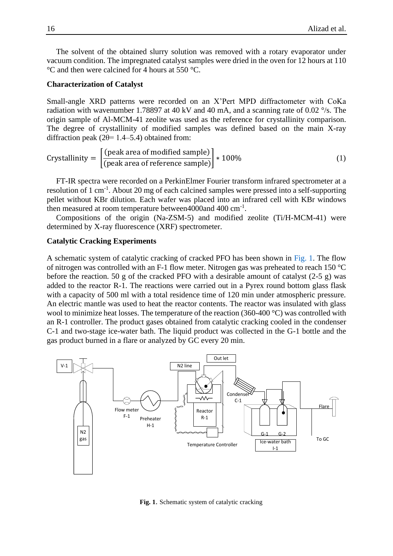The solvent of the obtained slurry solution was removed with a rotary evaporator under vacuum condition. The impregnated catalyst samples were dried in the oven for 12 hours at 110 °C and then were calcined for 4 hours at 550 °C.

## **Characterization of Catalyst**

Small-angle XRD patterns were recorded on an X'Pert MPD diffractometer with CoKa radiation with wavenumber 1.78897 at 40 kV and 40 mA, and a scanning rate of 0.02  $\degree$ /s. The origin sample of Al-MCM-41 zeolite was used as the reference for crystallinity comparison. The degree of crystallinity of modified samples was defined based on the main X-ray diffraction peak ( $2\theta$ = 1.4–5.4) obtained from:

$$
crystallinity = \left[ \frac{(peak area of modified sample)}{(peak area of reference sample)} \right] * 100\%
$$
 (1)

FT-IR spectra were recorded on a PerkinElmer Fourier transform infrared spectrometer at a resolution of 1 cm<sup>-1</sup>. About 20 mg of each calcined samples were pressed into a self-supporting pellet without KBr dilution. Each wafer was placed into an infrared cell with KBr windows then measured at room temperature between4000and 400 cm<sup>-1</sup>.

Compositions of the origin (Na-ZSM-5) and modified zeolite (Ti/H-MCM-41) were determined by X-ray fluorescence (XRF) spectrometer.

#### **Catalytic Cracking Experiments**

A schematic system of catalytic cracking of cracked PFO has been shown in [Fig. 1.](#page-3-0) The flow of nitrogen was controlled with an F-1 flow meter. Nitrogen gas was preheated to reach 150 °C before the reaction. 50 g of the cracked PFO with a desirable amount of catalyst  $(2-5 g)$  was added to the reactor R-1. The reactions were carried out in a Pyrex round bottom glass flask with a capacity of 500 ml with a total residence time of 120 min under atmospheric pressure. An electric mantle was used to heat the reactor contents. The reactor was insulated with glass wool to minimize heat losses. The temperature of the reaction (360-400 °C) was controlled with an R-1 controller. The product gases obtained from catalytic cracking cooled in the condenser C-1 and two-stage ice-water bath. The liquid product was collected in the G-1 bottle and the gas product burned in a flare or analyzed by GC every 20 min.

<span id="page-3-0"></span>

**Fig. 1**. Schematic system of catalytic cracking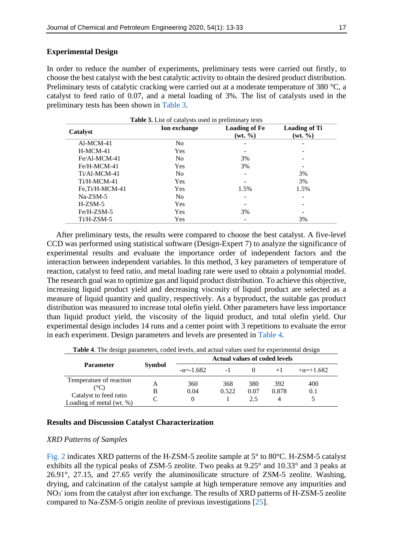## **Experimental Design**

In order to reduce the number of experiments, preliminary tests were carried out firstly, to choose the best catalyst with the best catalytic activity to obtain the desired product distribution. Preliminary tests of catalytic cracking were carried out at a moderate temperature of 380 °C, a catalyst to feed ratio of 0.07, and a metal loading of 3%. The list of catalysts used in the preliminary tests has been shown in [Table 3.](#page-4-0)

<span id="page-4-0"></span>

| <b>Table 3.</b> List of catalysts used in preliminary tests |                     |                                             |                                   |  |  |  |  |  |  |  |
|-------------------------------------------------------------|---------------------|---------------------------------------------|-----------------------------------|--|--|--|--|--|--|--|
| Catalyst                                                    | <b>Ion</b> exchange | <b>Loading of Fe</b><br>$(wt, \frac{9}{6})$ | <b>Loading of Ti</b><br>$(wt. \%$ |  |  |  |  |  |  |  |
| Al-MCM-41                                                   | No                  |                                             |                                   |  |  |  |  |  |  |  |
| $H-MCM-41$                                                  | Yes                 |                                             |                                   |  |  |  |  |  |  |  |
| $Fe/A1-MCM-41$                                              | N <sub>0</sub>      | 3%                                          |                                   |  |  |  |  |  |  |  |
| Fe/H-MCM-41                                                 | Yes                 | 3%                                          |                                   |  |  |  |  |  |  |  |
| $Ti/A1-MCM-41$                                              | N <sub>0</sub>      |                                             | 3%                                |  |  |  |  |  |  |  |
| Ti/H-MCM-41                                                 | Yes                 |                                             | 3%                                |  |  |  |  |  |  |  |
| Fe,Ti/H-MCM-41                                              | Yes                 | 1.5%                                        | 1.5%                              |  |  |  |  |  |  |  |
| $Na-ZSM-5$                                                  | N <sub>0</sub>      |                                             |                                   |  |  |  |  |  |  |  |
| $H-ZSM-5$                                                   | Yes                 |                                             |                                   |  |  |  |  |  |  |  |
| Fe/H-ZSM-5                                                  | Yes                 | 3%                                          |                                   |  |  |  |  |  |  |  |
| $Ti/H-ZSM-5$                                                | Yes                 |                                             | 3%                                |  |  |  |  |  |  |  |

After preliminary tests, the results were compared to choose the best catalyst. A five-level CCD was performed using statistical software (Design-Expert 7) to analyze the significance of experimental results and evaluate the importance order of independent factors and the interaction between independent variables. In this method, 3 key parameters of temperature of reaction, catalyst to feed ratio, and metal loading rate were used to obtain a polynomial model. The research goal was to optimize gas and liquid product distribution. To achieve this objective, increasing liquid product yield and decreasing viscosity of liquid product are selected as a measure of liquid quantity and quality, respectively. As a byproduct, the suitable gas product distribution was measured to increase total olefin yield. Other parameters have less importance than liquid product yield, the viscosity of the liquid product, and total olefin yield. Our experimental design includes 14 runs and a center point with 3 repetitions to evaluate the error in each experiment. Design parameters and levels are presented in [Table 4.](#page-4-1)

**Table 4**. The design parameters, coded levels, and actual values used for experimental design

<span id="page-4-1"></span>

|                                                           |               |                    | <b>Actual values of coded levels</b> |             |              |             |
|-----------------------------------------------------------|---------------|--------------------|--------------------------------------|-------------|--------------|-------------|
| <b>Parameter</b>                                          | <b>Symbol</b> | $-\alpha = -1.682$ | $-1$                                 |             |              | $+a=+1.682$ |
| Temperature of reaction<br>(°C)<br>Catalyst to feed ratio |               | 360<br>0.04        | 368<br>0.522                         | 380<br>0.07 | 392<br>0.878 | 400<br>0.1  |
| Loading of metal (wt. $%$ )                               |               |                    |                                      |             |              |             |

## **Results and Discussion Catalyst Characterization**

## *XRD Patterns of Samples*

[Fig.](#page-5-0) 2 indicates XRD patterns of the H-ZSM-5 zeolite sample at 5° to 80°C. H-ZSM-5 catalyst exhibits all the typical peaks of ZSM-5 zeolite. Two peaks at 9.25° and 10.33° and 3 peaks at 26.91°, 27.15, and 27.65 verify the aluminosilicate structure of ZSM-5 zeolite. Washing, drying, and calcination of the catalyst sample at high temperature remove any impurities and NO<sub>3</sub> ions from the catalyst after ion exchange. The results of XRD patterns of H-ZSM-5 zeolite compared to Na-ZSM-5 origin zeolite of previous investigations [\[25\]](#page-20-12).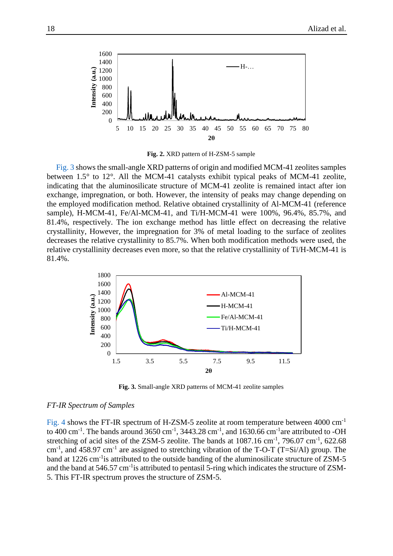<span id="page-5-0"></span>

**Fig. 2.** XRD pattern of H-ZSM-5 sample

[Fig.](#page-5-1) 3 shows the small-angle XRD patterns of origin and modified MCM-41 zeolites samples between 1.5° to 12°. All the MCM-41 catalysts exhibit typical peaks of MCM-41 zeolite, indicating that the aluminosilicate structure of MCM-41 zeolite is remained intact after ion exchange, impregnation, or both. However, the intensity of peaks may change depending on the employed modification method. Relative obtained crystallinity of Al-MCM-41 (reference sample), H-MCM-41, Fe/Al-MCM-41, and Ti/H-MCM-41 were 100%, 96.4%, 85.7%, and 81.4%, respectively. The ion exchange method has little effect on decreasing the relative crystallinity, However, the impregnation for 3% of metal loading to the surface of zeolites decreases the relative crystallinity to 85.7%. When both modification methods were used, the relative crystallinity decreases even more, so that the relative crystallinity of Ti/H-MCM-41 is 81.4%.

<span id="page-5-1"></span>

**Fig. 3.** Small-angle XRD patterns of MCM-41 zeolite samples

#### *FT-IR Spectrum of Samples*

[Fig.](#page-6-0) 4 shows the FT-IR spectrum of H-ZSM-5 zeolite at room temperature between 4000 cm-1 to 400 cm<sup>-1</sup>. The bands around 3650 cm<sup>-1</sup>, 3443.28 cm<sup>-1</sup>, and 1630.66 cm<sup>-1</sup>are attributed to -OH stretching of acid sites of the ZSM-5 zeolite. The bands at  $1087.16 \text{ cm}^{-1}$ ,  $796.07 \text{ cm}^{-1}$ ,  $622.68$ cm<sup>-1</sup>, and 458.97 cm<sup>-1</sup> are assigned to stretching vibration of the T-O-T (T=Si/Al) group. The band at 1226 cm<sup>-1</sup> is attributed to the outside banding of the aluminosilicate structure of ZSM-5 and the band at 546.57 cm<sup>-1</sup> is attributed to pentasil 5-ring which indicates the structure of ZSM-5. This FT-IR spectrum proves the structure of ZSM-5.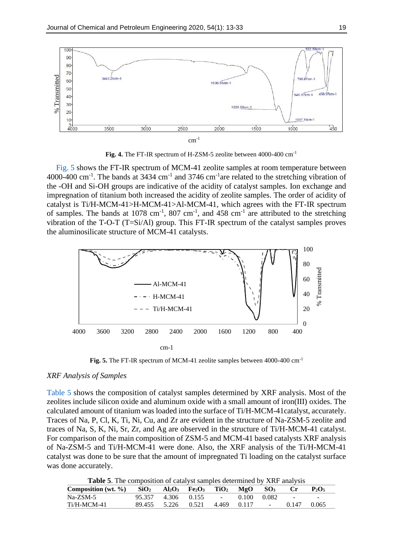<span id="page-6-0"></span>

**Fig. 4.** The FT-IR spectrum of H-ZSM-5 zeolite between 4000-400 cm-1

[Fig.](#page-6-1) 5 shows the FT-IR spectrum of MCM-41 zeolite samples at room temperature between 4000-400 cm<sup>-1</sup>. The bands at 3434 cm<sup>-1</sup> and 3746 cm<sup>-1</sup>are related to the stretching vibration of the -OH and Si-OH groups are indicative of the acidity of catalyst samples. Ion exchange and impregnation of titanium both increased the acidity of zeolite samples. The order of acidity of catalyst is Ti/H-MCM-41>H-MCM-41>Al-MCM-41, which agrees with the FT-IR spectrum of samples. The bands at 1078 cm<sup>-1</sup>, 807 cm<sup>-1</sup>, and 458 cm<sup>-1</sup> are attributed to the stretching vibration of the T-O-T (T=Si/Al) group. This FT-IR spectrum of the catalyst samples proves the aluminosilicate structure of MCM-41 catalysts.

<span id="page-6-1"></span>

**Fig. 5.** The FT-IR spectrum of MCM-41 zeolite samples between 4000-400 cm-1

## *XRF Analysis of Samples*

[Table 5](#page-6-2) shows the composition of catalyst samples determined by XRF analysis. Most of the zeolites include silicon oxide and aluminum oxide with a small amount of iron(III) oxides. The calculated amount of titanium was loaded into the surface of Ti/H-MCM-41catalyst, accurately. Traces of Na, P, Cl, K, Ti, Ni, Cu, and Zr are evident in the structure of Na-ZSM-5 zeolite and traces of Na, S, K, Ni, Sr, Zr, and Ag are observed in the structure of Ti/H-MCM-41 catalyst. For comparison of the main composition of ZSM-5 and MCM-41 based catalysts XRF analysis of Na-ZSM-5 and Ti/H-MCM-41 were done. Also, the XRF analysis of the Ti/H-MCM-41 catalyst was done to be sure that the amount of impregnated Ti loading on the catalyst surface was done accurately.

**Table 5**. The composition of catalyst samples determined by XRF analysis

<span id="page-6-2"></span>

| <b>Table 5.</b> The composition of eatalyst samples determined by Title analysis                                                                                         |  |                                              |  |  |  |
|--------------------------------------------------------------------------------------------------------------------------------------------------------------------------|--|----------------------------------------------|--|--|--|
| Composition (wt. %) SiO <sub>2</sub> Al <sub>2</sub> O <sub>3</sub> Fe <sub>2</sub> O <sub>3</sub> TiO <sub>2</sub> MgO SO <sub>3</sub> Cr P <sub>2</sub> O <sub>5</sub> |  |                                              |  |  |  |
| Na-ZSM-5                                                                                                                                                                 |  | $95.357$ $4.306$ $0.155$ - $0.100$ $0.082$ - |  |  |  |
| Ti/H-MCM-41                                                                                                                                                              |  | 89.455 5.226 0.521 4.469 0.117 - 0.147 0.065 |  |  |  |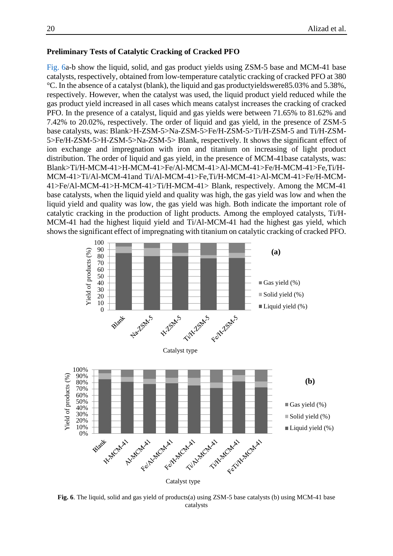#### **Preliminary Tests of Catalytic Cracking of Cracked PFO**

[Fig. 6a](#page-7-0)-b show the liquid, solid, and gas product yields using ZSM-5 base and MCM-41 base catalysts, respectively, obtained from low-temperature catalytic cracking of cracked PFO at 380 °C. In the absence of a catalyst (blank), the liquid and gas productyieldswere85.03% and 5.38%, respectively. However, when the catalyst was used, the liquid product yield reduced while the gas product yield increased in all cases which means catalyst increases the cracking of cracked PFO. In the presence of a catalyst, liquid and gas yields were between 71.65% to 81.62% and 7.42% to 20.02%, respectively. The order of liquid and gas yield, in the presence of ZSM-5 base catalysts, was: Blank>H-ZSM-5>Na-ZSM-5>Fe/H-ZSM-5>Ti/H-ZSM-5 and Ti/H-ZSM-5>Fe/H-ZSM-5>H-ZSM-5>Na-ZSM-5> Blank, respectively. It shows the significant effect of ion exchange and impregnation with iron and titanium on increasing of light product distribution. The order of liquid and gas yield, in the presence of MCM-41base catalysts, was: Blank>Ti/H-MCM-41>H-MCM-41>Fe/Al-MCM-41>Al-MCM-41>Fe/H-MCM-41>Fe,Ti/H-MCM-41>Ti/Al-MCM-41and Ti/Al-MCM-41>Fe,Ti/H-MCM-41>Al-MCM-41>Fe/H-MCM-41>Fe/Al-MCM-41>H-MCM-41>Ti/H-MCM-41> Blank, respectively. Among the MCM-41 base catalysts, when the liquid yield and quality was high, the gas yield was low and when the liquid yield and quality was low, the gas yield was high. Both indicate the important role of catalytic cracking in the production of light products. Among the employed catalysts, Ti/H-MCM-41 had the highest liquid yield and Ti/Al-MCM-41 had the highest gas yield, which shows the significant effect of impregnating with titanium on catalytic cracking of cracked PFO.

<span id="page-7-0"></span>

**Fig. 6**. The liquid, solid and gas yield of products(a) using ZSM-5 base catalysts (b) using MCM-41 base catalysts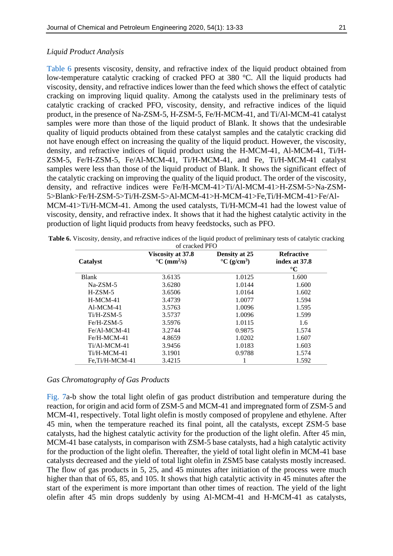## *Liquid Product Analysis*

[Table 6](#page-8-0) presents viscosity, density, and refractive index of the liquid product obtained from low-temperature catalytic cracking of cracked PFO at 380 °C. All the liquid products had viscosity, density, and refractive indices lower than the feed which shows the effect of catalytic cracking on improving liquid quality. Among the catalysts used in the preliminary tests of catalytic cracking of cracked PFO, viscosity, density, and refractive indices of the liquid product, in the presence of Na-ZSM-5, H-ZSM-5, Fe/H-MCM-41, and Ti/Al-MCM-41 catalyst samples were more than those of the liquid product of Blank. It shows that the undesirable quality of liquid products obtained from these catalyst samples and the catalytic cracking did not have enough effect on increasing the quality of the liquid product. However, the viscosity, density, and refractive indices of liquid product using the H-MCM-41, Al-MCM-41, Ti/H-ZSM-5, Fe/H-ZSM-5, Fe/Al-MCM-41, Ti/H-MCM-41, and Fe, Ti/H-MCM-41 catalyst samples were less than those of the liquid product of Blank. It shows the significant effect of the catalytic cracking on improving the quality of the liquid product. The order of the viscosity, density, and refractive indices were Fe/H-MCM-41>Ti/Al-MCM-41>H-ZSM-5>Na-ZSM-5>Blank>Fe/H-ZSM-5>Ti/H-ZSM-5>Al-MCM-41>H-MCM-41>Fe,Ti/H-MCM-41>Fe/Al-MCM-41>Ti/H-MCM-41. Among the used catalysts, Ti/H-MCM-41 had the lowest value of viscosity, density, and refractive index. It shows that it had the highest catalytic activity in the production of light liquid products from heavy feedstocks, such as PFO.

|                | of cracked PFO                                                 |                                                       |                                                       |
|----------------|----------------------------------------------------------------|-------------------------------------------------------|-------------------------------------------------------|
| Catalyst       | Viscosity at 37.8<br>$\mathrm{^{\circ}C}$ (mm <sup>2</sup> /s) | Density at 25<br>$\rm ^{\circ}C$ (g/cm <sup>3</sup> ) | <b>Refractive</b><br>index at 37.8<br>$\rm ^{\circ}C$ |
| <b>Blank</b>   | 3.6135                                                         | 1.0125                                                | 1.600                                                 |
| $Na-ZSM-5$     | 3.6280                                                         | 1.0144                                                | 1.600                                                 |
| $H-ZSM-5$      | 3.6506                                                         | 1.0164                                                | 1.602                                                 |
| $H-MCM-41$     | 3.4739                                                         | 1.0077                                                | 1.594                                                 |
| $AI-MCM-41$    | 3.5763                                                         | 1.0096                                                | 1.595                                                 |
| $Ti/H-ZSM-5$   | 3.5737                                                         | 1.0096                                                | 1.599                                                 |
| Fe/H-ZSM-5     | 3.5976                                                         | 1.0115                                                | 1.6                                                   |
| $Fe/A1-MCM-41$ | 3.2744                                                         | 0.9875                                                | 1.574                                                 |
| Fe/H-MCM-41    | 4.8659                                                         | 1.0202                                                | 1.607                                                 |
| Ti/Al-MCM-41   | 3.9456                                                         | 1.0183                                                | 1.603                                                 |
| Ti/H-MCM-41    | 3.1901                                                         | 0.9788                                                | 1.574                                                 |
| Fe.Ti/H-MCM-41 | 3.4215                                                         |                                                       | 1.592                                                 |

<span id="page-8-0"></span>**Table 6.** Viscosity, density, and refractive indices of the liquid product of preliminary tests of catalytic cracking

# *Gas Chromatography of Gas Products*

Fig. 7a-b show the total light olefin of gas product distribution and temperature during the reaction, for origin and acid form of ZSM-5 and MCM-41 and impregnated form of ZSM-5 and MCM-41, respectively. Total light olefin is mostly composed of propylene and ethylene. After 45 min, when the temperature reached its final point, all the catalysts, except ZSM-5 base catalysts, had the highest catalytic activity for the production of the light olefin. After 45 min, MCM-41 base catalysts, in comparison with ZSM-5 base catalysts, had a high catalytic activity for the production of the light olefin. Thereafter, the yield of total light olefin in MCM-41 base catalysts decreased and the yield of total light olefin in ZSM5 base catalysts mostly increased. The flow of gas products in 5, 25, and 45 minutes after initiation of the process were much higher than that of 65, 85, and 105. It shows that high catalytic activity in 45 minutes after the start of the experiment is more important than other times of reaction. The yield of the light olefin after 45 min drops suddenly by using Al-MCM-41 and H-MCM-41 as catalysts,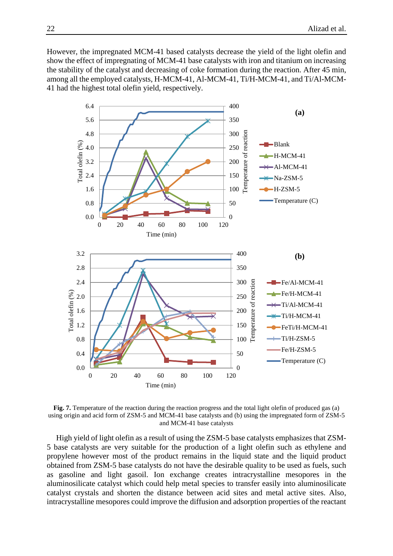However, the impregnated MCM-41 based catalysts decrease the yield of the light olefin and show the effect of impregnating of MCM-41 base catalysts with iron and titanium on increasing the stability of the catalyst and decreasing of coke formation during the reaction. After 45 min, among all the employed catalysts, H-MCM-41, Al-MCM-41, Ti/H-MCM-41, and Ti/Al-MCM-41 had the highest total olefin yield, respectively.



**Fig. 7.** Temperature of the reaction during the reaction progress and the total light olefin of produced gas (a) using origin and acid form of ZSM-5 and MCM-41 base catalysts and (b) using the impregnated form of ZSM-5 and MCM-41 base catalysts

High yield of light olefin as a result of using the ZSM-5 base catalysts emphasizes that ZSM-5 base catalysts are very suitable for the production of a light olefin such as ethylene and propylene however most of the product remains in the liquid state and the liquid product obtained from ZSM-5 base catalysts do not have the desirable quality to be used as fuels, such as gasoline and light gasoil. Ion exchange creates intracrystalline mesopores in the aluminosilicate catalyst which could help metal species to transfer easily into aluminosilicate catalyst crystals and shorten the distance between acid sites and metal active sites. Also, intracrystalline mesopores could improve the diffusion and adsorption properties of the reactant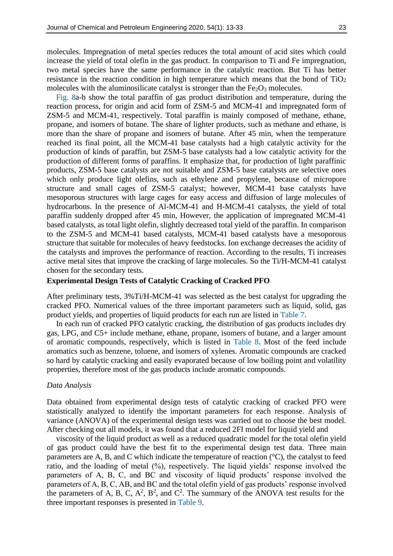molecules. Impregnation of metal species reduces the total amount of acid sites which could increase the yield of total olefin in the gas product. In comparison to Ti and Fe impregnation, two metal species have the same performance in the catalytic reaction. But Ti has better resistance in the reaction condition in high temperature which means that the bond of  $TiO<sub>2</sub>$ molecules with the aluminosilicate catalyst is stronger than the  $Fe<sub>2</sub>O<sub>3</sub>$  molecules.

[Fig. 8a](#page-11-0)-b show the total paraffin of gas product distribution and temperature, during the reaction process, for origin and acid form of ZSM-5 and MCM-41 and impregnated form of ZSM-5 and MCM-41, respectively. Total paraffin is mainly composed of methane, ethane, propane, and isomers of butane. The share of lighter products, such as methane and ethane, is more than the share of propane and isomers of butane. After 45 min, when the temperature reached its final point, all the MCM-41 base catalysts had a high catalytic activity for the production of kinds of paraffin, but ZSM-5 base catalysts had a low catalytic activity for the production of different forms of paraffins. It emphasize that, for production of light paraffinic products, ZSM-5 base catalysts are not suitable and ZSM-5 base catalysts are selective ones which only produce light olefins, such as ethylene and propylene, because of micropore structure and small cages of ZSM-5 catalyst; however, MCM-41 base catalysts have mesoporous structures with large cages for easy access and diffusion of large molecules of hydrocarbons. In the presence of Al-MCM-41 and H-MCM-41 catalysts, the yield of total paraffin suddenly dropped after 45 min, However, the application of impregnated MCM-41 based catalysts, as total light olefin, slightly decreased total yield of the paraffin. In comparison to the ZSM-5 and MCM-41 based catalysts, MCM-41 based catalysts have a mesoporous structure that suitable for molecules of heavy feedstocks. Ion exchange decreases the acidity of the catalysts and improves the performance of reaction. According to the results, Ti increases active metal sites that improve the cracking of large molecules. So the Ti/H-MCM-41 catalyst chosen for the secondary tests.

#### **Experimental Design Tests of Catalytic Cracking of Cracked PFO**

After preliminary tests, 3%Ti/H-MCM-41 was selected as the best catalyst for upgrading the cracked PFO. Numerical values of the three important parameters such as liquid, solid, gas product yields, and properties of liquid products for each run are listed in [Table 7.](#page-11-1)

In each run of cracked PFO catalytic cracking, the distribution of gas products includes dry gas, LPG, and C5+ include methane, ethane, propane, isomers of butane, and a larger amount of aromatic compounds, respectively, which is listed in [Table 8.](#page-12-0) Most of the feed include aromatics such as benzene, toluene, and isomers of xylenes. Aromatic compounds are cracked so hard by catalytic cracking and easily evaporated because of low boiling point and volatility properties, therefore most of the gas products include aromatic compounds.

## *Data Analysis*

Data obtained from experimental design tests of catalytic cracking of cracked PFO were statistically analyzed to identify the important parameters for each response. Analysis of variance (ANOVA) of the experimental design tests was carried out to choose the best model. After checking out all models, it was found that a reduced 2FI model for liquid yield and

viscosity of the liquid product as well as a reduced quadratic model for the total olefin yield of gas product could have the best fit to the experimental design test data. Three main parameters are A, B, and C which indicate the temperature of reaction (°C), the catalyst to feed ratio, and the loading of metal (%), respectively. The liquid yields' response involved the parameters of A, B, C, and BC and viscosity of liquid products' response involved the parameters of A, B, C, AB, and BC and the total olefin yield of gas products' response involved the parameters of A, B, C,  $A^2$ ,  $B^2$ , and  $C^2$ . The summary of the ANOVA test results for the three important responses is presented in [Table 9.](#page-12-1)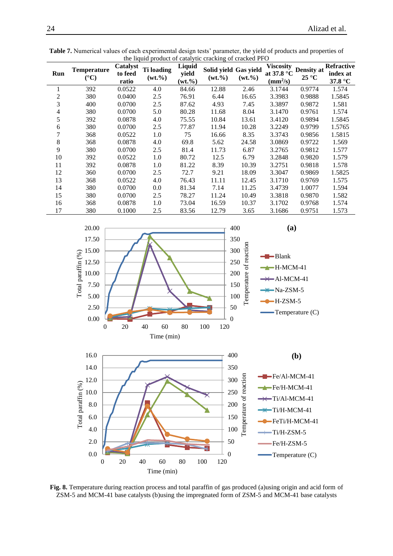| Run | <b>Temperature</b><br>$({}^{\circ}C)$ | Catalyst<br>to feed<br>ratio | <b>Ti</b> loading<br>$(wt. \% )$ | Liquid<br>yield<br>$(wt. \% )$ | Solid yield Gas yield<br>$(wt. \% )$ | $(wt. \% )$ | <b>Viscosity</b><br>at 37.8 °C<br>$\text{(mm}^2\text{/s)}$ | <b>Density at</b><br>$25^{\circ}$ C | <b>Refractive</b><br>index at<br>37.8 °C |
|-----|---------------------------------------|------------------------------|----------------------------------|--------------------------------|--------------------------------------|-------------|------------------------------------------------------------|-------------------------------------|------------------------------------------|
| 1   | 392                                   | 0.0522                       | 4.0                              | 84.66                          | 12.88                                | 2.46        | 3.1744                                                     | 0.9774                              | 1.574                                    |
| 2   | 380                                   | 0.0400                       | 2.5                              | 76.91                          | 6.44                                 | 16.65       | 3.3983                                                     | 0.9888                              | 1.5845                                   |
| 3   | 400                                   | 0.0700                       | 2.5                              | 87.62                          | 4.93                                 | 7.45        | 3.3897                                                     | 0.9872                              | 1.581                                    |
| 4   | 380                                   | 0.0700                       | 5.0                              | 80.28                          | 11.68                                | 8.04        | 3.1470                                                     | 0.9761                              | 1.574                                    |
| 5   | 392                                   | 0.0878                       | 4.0                              | 75.55                          | 10.84                                | 13.61       | 3.4120                                                     | 0.9894                              | 1.5845                                   |
| 6   | 380                                   | 0.0700                       | 2.5                              | 77.87                          | 11.94                                | 10.28       | 3.2249                                                     | 0.9799                              | 1.5765                                   |
|     | 368                                   | 0.0522                       | 1.0                              | 75                             | 16.66                                | 8.35        | 3.3743                                                     | 0.9856                              | 1.5815                                   |
| 8   | 368                                   | 0.0878                       | 4.0                              | 69.8                           | 5.62                                 | 24.58       | 3.0869                                                     | 0.9722                              | 1.569                                    |
| 9   | 380                                   | 0.0700                       | 2.5                              | 81.4                           | 11.73                                | 6.87        | 3.2765                                                     | 0.9812                              | 1.577                                    |
| 10  | 392                                   | 0.0522                       | 1.0                              | 80.72                          | 12.5                                 | 6.79        | 3.2848                                                     | 0.9820                              | 1.579                                    |
| 11  | 392                                   | 0.0878                       | 1.0                              | 81.22                          | 8.39                                 | 10.39       | 3.2751                                                     | 0.9818                              | 1.578                                    |
| 12  | 360                                   | 0.0700                       | 2.5                              | 72.7                           | 9.21                                 | 18.09       | 3.3047                                                     | 0.9869                              | 1.5825                                   |
| 13  | 368                                   | 0.0522                       | 4.0                              | 76.43                          | 11.11                                | 12.45       | 3.1710                                                     | 0.9769                              | 1.575                                    |
| 14  | 380                                   | 0.0700                       | 0.0                              | 81.34                          | 7.14                                 | 11.25       | 3.4739                                                     | 1.0077                              | 1.594                                    |
| 15  | 380                                   | 0.0700                       | 2.5                              | 78.27                          | 11.24                                | 10.49       | 3.3818                                                     | 0.9870                              | 1.582                                    |
| 16  | 368                                   | 0.0878                       | 1.0                              | 73.04                          | 16.59                                | 10.37       | 3.1702                                                     | 0.9768                              | 1.574                                    |
| 17  | 380                                   | 0.1000                       | 2.5                              | 83.56                          | 12.79                                | 3.65        | 3.1686                                                     | 0.9751                              | 1.573                                    |

<span id="page-11-0"></span>

<span id="page-11-1"></span>**Table 7.** Numerical values of each experimental design tests' parameter, the yield of products and properties of the liquid product of extellitio appeling of applied PFO the liquid product of catalytic cracking of cracked PFO

**Fig. 8.** Temperature during reaction process and total paraffin of gas produced (a)using origin and acid form of ZSM-5 and MCM-41 base catalysts (b)using the impregnated form of ZSM-5 and MCM-41 base catalysts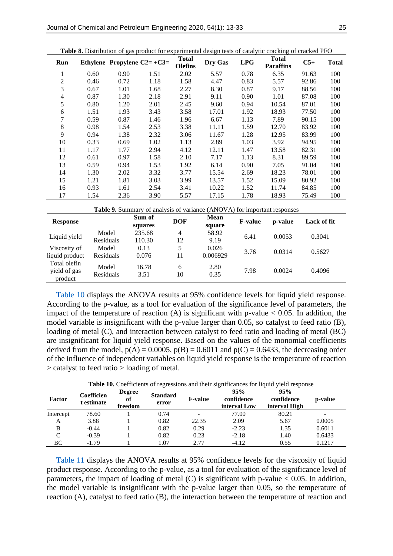<span id="page-12-0"></span>

| Run            |                                                                                    | Ethylene Propylene $C2=+C3=$ |      | <b>Total</b><br><b>Olefins</b> | Dry Gas | LPG  | <b>Table 0.</b> Distribution of gas product for experimental design tests of catarytic cracking of cracked 11 O<br><b>Total</b><br><b>Paraffins</b> | $C5+$ | <b>Total</b> |  |  |
|----------------|------------------------------------------------------------------------------------|------------------------------|------|--------------------------------|---------|------|-----------------------------------------------------------------------------------------------------------------------------------------------------|-------|--------------|--|--|
| 1              | 0.60                                                                               | 0.90                         | 1.51 | 2.02                           | 5.57    | 0.78 | 6.35                                                                                                                                                | 91.63 | 100          |  |  |
| 2              | 0.46                                                                               | 0.72                         | 1.18 | 1.58                           | 4.47    | 0.83 | 5.57                                                                                                                                                | 92.86 | 100          |  |  |
| 3              | 0.67                                                                               | 1.01                         | 1.68 | 2.27                           | 8.30    | 0.87 | 9.17                                                                                                                                                | 88.56 | 100          |  |  |
| 4              | 0.87                                                                               | 1.30                         | 2.18 | 2.91                           | 9.11    | 0.90 | 1.01                                                                                                                                                | 87.08 | 100          |  |  |
| 5              | 0.80                                                                               | 1.20                         | 2.01 | 2.45                           | 9.60    | 0.94 | 10.54                                                                                                                                               | 87.01 | 100          |  |  |
| 6              | 1.51                                                                               | 1.93                         | 3.43 | 3.58                           | 17.01   | 1.92 | 18.93                                                                                                                                               | 77.50 | 100          |  |  |
| $\overline{7}$ | 0.59                                                                               | 0.87                         | 1.46 | 1.96                           | 6.67    | 1.13 | 7.89                                                                                                                                                | 90.15 | 100          |  |  |
| 8              | 0.98                                                                               | 1.54                         | 2.53 | 3.38                           | 11.11   | 1.59 | 12.70                                                                                                                                               | 83.92 | 100          |  |  |
| 9              | 0.94                                                                               | 1.38                         | 2.32 | 3.06                           | 11.67   | 1.28 | 12.95                                                                                                                                               | 83.99 | 100          |  |  |
| 10             | 0.33                                                                               | 0.69                         | 1.02 | 1.13                           | 2.89    | 1.03 | 3.92                                                                                                                                                | 94.95 | 100          |  |  |
| 11             | 1.17                                                                               | 1.77                         | 2.94 | 4.12                           | 12.11   | 1.47 | 13.58                                                                                                                                               | 82.31 | 100          |  |  |
| 12             | 0.61                                                                               | 0.97                         | 1.58 | 2.10                           | 7.17    | 1.13 | 8.31                                                                                                                                                | 89.59 | 100          |  |  |
| 13             | 0.59                                                                               | 0.94                         | 1.53 | 1.92                           | 6.14    | 0.90 | 7.05                                                                                                                                                | 91.04 | 100          |  |  |
| 14             | 1.30                                                                               | 2.02                         | 3.32 | 3.77                           | 15.54   | 2.69 | 18.23                                                                                                                                               | 78.01 | 100          |  |  |
| 15             | 1.21                                                                               | 1.81                         | 3.03 | 3.99                           | 13.57   | 1.52 | 15.09                                                                                                                                               | 80.92 | 100          |  |  |
| 16             | 0.93                                                                               | 1.61                         | 2.54 | 3.41                           | 10.22   | 1.52 | 11.74                                                                                                                                               | 84.85 | 100          |  |  |
| 17             | 1.54                                                                               | 2.36                         | 3.90 | 5.57                           | 17.15   | 1.78 | 18.93                                                                                                                                               | 75.49 | 100          |  |  |
|                | Table 9. Summary of analysis of variance (ANOVA) for important responses<br>$\sim$ |                              |      |                                |         |      |                                                                                                                                                     |       |              |  |  |

<span id="page-12-1"></span>

|                                         |                    |                   |            | Table 9. Summary of analysis of variance (ANOVA) for important responses |                |         |             |
|-----------------------------------------|--------------------|-------------------|------------|--------------------------------------------------------------------------|----------------|---------|-------------|
| <b>Response</b>                         |                    | Sum of<br>squares | <b>DOF</b> | <b>Mean</b><br>square                                                    | <b>F-value</b> | p-value | Lack of fit |
| Liquid yield                            | Model<br>Residuals | 235.68<br>110.30  | 4<br>12    | 58.92<br>9.19                                                            | 6.41           | 0.0053  | 0.3041      |
| Viscosity of<br>liquid product          | Model<br>Residuals | 0.13<br>0.076     | 5<br>11    | 0.026<br>0.006929                                                        | 3.76           | 0.0314  | 0.5627      |
| Total olefin<br>yield of gas<br>product | Model<br>Residuals | 16.78<br>3.51     | 6<br>10    | 2.80<br>0.35                                                             | 7.98           | 0.0024  | 0.4096      |

[Table 10](#page-12-2) displays the ANOVA results at 95% confidence levels for liquid yield response. According to the p-value, as a tool for evaluation of the significance level of parameters, the impact of the temperature of reaction  $(A)$  is significant with p-value  $\lt 0.05$ . In addition, the model variable is insignificant with the p-value larger than 0.05, so catalyst to feed ratio (B), loading of metal (C), and interaction between catalyst to feed ratio and loading of metal (BC) are insignificant for liquid yield response. Based on the values of the monomial coefficients derived from the model,  $p(A) = 0.0005$ ,  $p(B) = 0.6011$  and  $p(C) = 0.6433$ , the decreasing order of the influence of independent variables on liquid yield response is the temperature of reaction > catalyst to feed ratio > loading of metal.

<span id="page-12-2"></span>

|           |                          |                                |                          |                |                                   | <b>Table 10.</b> Coefficients of regressions and their significances for liquid yield response |                |
|-----------|--------------------------|--------------------------------|--------------------------|----------------|-----------------------------------|------------------------------------------------------------------------------------------------|----------------|
| Factor    | Coefficien<br>t estimate | <b>Degree</b><br>of<br>freedom | <b>Standard</b><br>error | <b>F-value</b> | 95%<br>confidence<br>interval Low | 95%<br>confidence<br>interval High                                                             | <b>p-value</b> |
| Intercept | 78.60                    |                                | 0.74                     |                | 77.00                             | 80.21                                                                                          | -              |
| A         | 3.88                     |                                | 0.82                     | 22.35          | 2.09                              | 5.67                                                                                           | 0.0005         |
| B         | $-0.44$                  |                                | 0.82                     | 0.29           | $-2.23$                           | 1.35                                                                                           | 0.6011         |
| C         | $-0.39$                  |                                | 0.82                     | 0.23           | $-2.18$                           | 1.40                                                                                           | 0.6433         |
| ВC        | $-1.79$                  |                                | 1.07                     | 2.77           | $-4.12$                           | 0.55                                                                                           | 0.1217         |

[Table 11](#page-13-0) displays the ANOVA results at 95% confidence levels for the viscosity of liquid product response. According to the p-value, as a tool for evaluation of the significance level of parameters, the impact of loading of metal  $(C)$  is significant with p-value  $< 0.05$ . In addition, the model variable is insignificant with the p-value larger than 0.05, so the temperature of reaction (A), catalyst to feed ratio (B), the interaction between the temperature of reaction and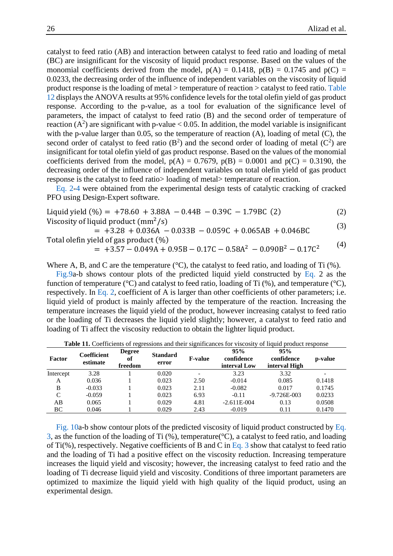catalyst to feed ratio (AB) and interaction between catalyst to feed ratio and loading of metal (BC) are insignificant for the viscosity of liquid product response. Based on the values of the monomial coefficients derived from the model,  $p(A) = 0.1418$ ,  $p(B) = 0.1745$  and  $p(C) =$ 0.0233, the decreasing order of the influence of independent variables on the viscosity of liquid product response is the loading of metal > temperature of reaction > catalyst to feed ratio. [Table](#page-13-1)  [12](#page-13-1) displays the ANOVA results at 95% confidence levels for the total olefin yield of gas product response. According to the p-value, as a tool for evaluation of the significance level of parameters, the impact of catalyst to feed ratio (B) and the second order of temperature of reaction ( $A^2$ ) are significant with p-value < 0.05. In addition, the model variable is insignificant with the p-value larger than 0.05, so the temperature of reaction (A), loading of metal (C), the second order of catalyst to feed ratio  $(B^2)$  and the second order of loading of metal  $(C^2)$  are insignificant for total olefin yield of gas product response. Based on the values of the monomial coefficients derived from the model,  $p(A) = 0.7679$ ,  $p(B) = 0.0001$  and  $p(C) = 0.3190$ , the decreasing order of the influence of independent variables on total olefin yield of gas product response is the catalyst to feed ratio> loading of metal> temperature of reaction.

[Eq.](#page-13-2) 2[-4](#page-13-3) were obtained from the experimental design tests of catalytic cracking of cracked PFO using Design-Expert software.

<span id="page-13-2"></span>Liquid yield (%) = 
$$
+78.60 + 3.88A - 0.44B - 0.39C - 1.79BC
$$
 (2)

\nViscosity of liquid product  $(mm^2/s)$ 

\n(2)

<span id="page-13-4"></span><span id="page-13-3"></span> $= +3.28 + 0.036A - 0.033B - 0.059C + 0.065AB + 0.046BC$  (3) Total olefin yield of gas product (%)

 $= +3.57 - 0.049A + 0.95B - 0.17C - 0.58A^2 - 0.090B^2 - 0.17C^2$ (4)

Where A, B, and C are the temperature (°C), the catalyst to feed ratio, and loading of Ti (%).

[Fig.9a](#page-14-0)-b shows contour plots of the predicted liquid yield constructed by [Eq.](#page-13-2) 2 as the function of temperature ( $^{\circ}$ C) and catalyst to feed ratio, loading of Ti (%), and temperature ( $^{\circ}$ C), respectively. In [Eq. 2,](#page-13-2) coefficient of A is larger than other coefficients of other parameters; i.e. liquid yield of product is mainly affected by the temperature of the reaction. Increasing the temperature increases the liquid yield of the product, however increasing catalyst to feed ratio or the loading of Ti decreases the liquid yield slightly; however, a catalyst to feed ratio and loading of Ti affect the viscosity reduction to obtain the lighter liquid product.

<span id="page-13-0"></span>

| <b>Factor</b> | <b>Coefficient</b><br>estimate | <b>Degree</b><br>of<br>freedom | <b>Standard</b><br>error | <b>F-value</b> | 95%<br>confidence<br>interval Low | 95%<br>confidence<br>interval High | p-value                  |
|---------------|--------------------------------|--------------------------------|--------------------------|----------------|-----------------------------------|------------------------------------|--------------------------|
| Intercept     | 3.28                           |                                | 0.020                    |                | 3.23                              | 3.32                               | $\overline{\phantom{0}}$ |
| А             | 0.036                          |                                | 0.023                    | 2.50           | $-0.014$                          | 0.085                              | 0.1418                   |
| B             | $-0.033$                       |                                | 0.023                    | 2.11           | $-0.082$                          | 0.017                              | 0.1745                   |
| C             | $-0.059$                       |                                | 0.023                    | 6.93           | $-0.11$                           | $-9.726E - 003$                    | 0.0233                   |
| AВ            | 0.065                          |                                | 0.029                    | 4.81           | $-2.611E-004$                     | 0.13                               | 0.0508                   |
| BC            | 0.046                          |                                | 0.029                    | 2.43           | $-0.019$                          | 0.11                               | 0.1470                   |

Table 11. Coefficients of regressions and their significances for viscosity of liquid product response

<span id="page-13-1"></span>[Fig. 10a](#page-15-0)-b show contour plots of the predicted viscosity of liquid product constructed by [Eq.](#page-13-4)  [3,](#page-13-4) as the function of the loading of Ti (%), temperature(°C), a catalyst to feed ratio, and loading of Ti(%), respectively. Negative coefficients of B and C in [Eq. 3](#page-13-4) show that catalyst to feed ratio and the loading of Ti had a positive effect on the viscosity reduction. Increasing temperature increases the liquid yield and viscosity; however, the increasing catalyst to feed ratio and the loading of Ti decrease liquid yield and viscosity. Conditions of three important parameters are optimized to maximize the liquid yield with high quality of the liquid product, using an experimental design.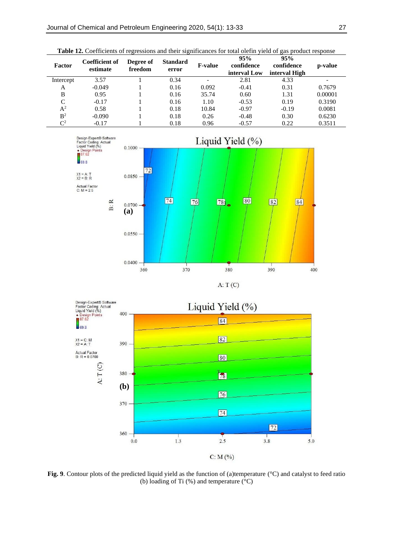| Table 12. Coefficients of regressions and their significances for total olefin yield of gas product response |                                   |                      |                          |                |                                   |                                    |         |  |  |  |  |
|--------------------------------------------------------------------------------------------------------------|-----------------------------------|----------------------|--------------------------|----------------|-----------------------------------|------------------------------------|---------|--|--|--|--|
| Factor                                                                                                       | <b>Coefficient of</b><br>estimate | Degree of<br>freedom | <b>Standard</b><br>error | <b>F-value</b> | 95%<br>confidence<br>interval Low | 95%<br>confidence<br>interval High | p-value |  |  |  |  |
| Intercept                                                                                                    | 3.57                              |                      | 0.34                     | -              | 2.81                              | 4.33                               |         |  |  |  |  |
| A                                                                                                            | $-0.049$                          |                      | 0.16                     | 0.092          | $-0.41$                           | 0.31                               | 0.7679  |  |  |  |  |
| B                                                                                                            | 0.95                              |                      | 0.16                     | 35.74          | 0.60                              | 1.31                               | 0.00001 |  |  |  |  |
| C                                                                                                            | $-0.17$                           |                      | 0.16                     | 1.10           | $-0.53$                           | 0.19                               | 0.3190  |  |  |  |  |
| $A^2$                                                                                                        | 0.58                              |                      | 0.18                     | 10.84          | $-0.97$                           | $-0.19$                            | 0.0081  |  |  |  |  |
| B <sup>2</sup>                                                                                               | $-0.090$                          |                      | 0.18                     | 0.26           | $-0.48$                           | 0.30                               | 0.6230  |  |  |  |  |
| $\mathbb{C}^2$                                                                                               | $-0.17$                           |                      | 0.18                     | 0.96           | $-0.57$                           | 0.22                               | 0.3511  |  |  |  |  |

<span id="page-14-0"></span>



**Fig. 9**. Contour plots of the predicted liquid yield as the function of (a)temperature (°C) and catalyst to feed ratio (b) loading of Ti (%) and temperature (°C)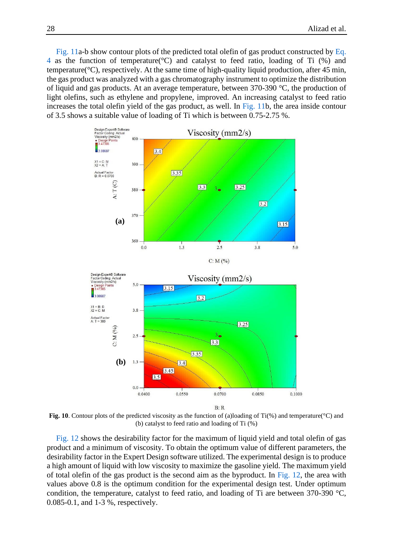[Fig. 11a](#page-16-0)-b show contour plots of the predicted total olefin of gas product constructed by [Eq.](#page-13-3)  [4](#page-13-3) as the function of temperature(°C) and catalyst to feed ratio, loading of Ti (%) and temperature(°C), respectively. At the same time of high-quality liquid production, after 45 min, the gas product was analyzed with a gas chromatography instrument to optimize the distribution of liquid and gas products. At an average temperature, between 370-390 °C, the production of light olefins, such as ethylene and propylene, improved. An increasing catalyst to feed ratio increases the total olefin yield of the gas product, as well. In [Fig. 11b](#page-16-0), the area inside contour of 3.5 shows a suitable value of loading of Ti which is between 0.75-2.75 %.

<span id="page-15-0"></span>

**Fig. 10**. Contour plots of the predicted viscosity as the function of (a)loading of Ti(%) and temperature(°C) and (b) catalyst to feed ratio and loading of Ti (%)

[Fig. 12](#page-13-1) shows the desirability factor for the maximum of liquid yield and total olefin of gas product and a minimum of viscosity. To obtain the optimum value of different parameters, the desirability factor in the Expert Design software utilized. The experimental design is to produce a high amount of liquid with low viscosity to maximize the gasoline yield. The maximum yield of total olefin of the gas product is the second aim as the byproduct. In [Fig. 12,](#page-16-1) the area with values above 0.8 is the optimum condition for the experimental design test. Under optimum condition, the temperature, catalyst to feed ratio, and loading of Ti are between 370-390 °C, 0.085-0.1, and 1-3 %, respectively.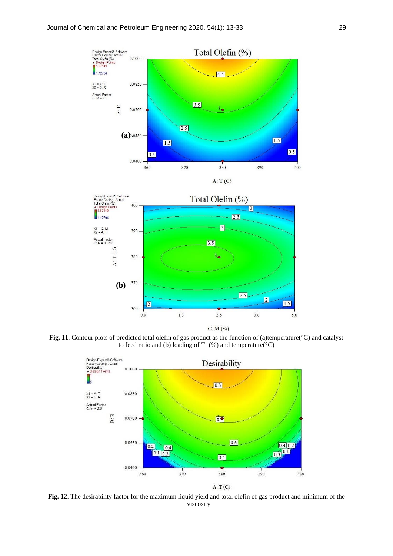<span id="page-16-0"></span>



<span id="page-16-1"></span>**Fig. 11**. Contour plots of predicted total olefin of gas product as the function of (a)temperature(°C) and catalyst to feed ratio and (b) loading of Ti  $(\%)$  and temperature( $°C$ )



**Fig. 12**. The desirability factor for the maximum liquid yield and total olefin of gas product and minimum of the viscosity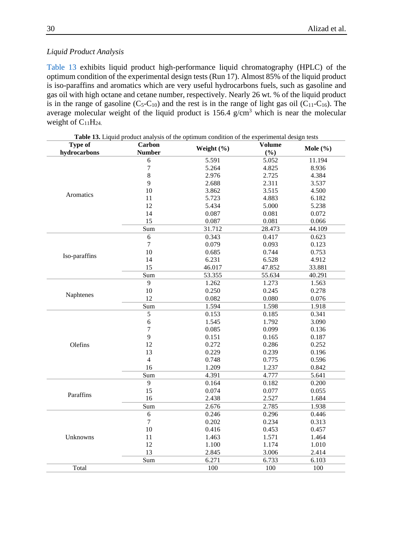# *Liquid Product Analysis*

[Table 13](#page-17-0) exhibits liquid product high-performance liquid chromatography (HPLC) of the optimum condition of the experimental design tests (Run 17). Almost 85% of the liquid product is iso-paraffins and aromatics which are very useful hydrocarbons fuels, such as gasoline and gas oil with high octane and cetane number, respectively. Nearly 26 wt. % of the liquid product is in the range of gasoline  $(C_5-C_{10})$  and the rest is in the range of light gas oil  $(C_{11}-C_{16})$ . The average molecular weight of the liquid product is  $156.4$  g/cm<sup>3</sup> which is near the molecular weight of  $C_{11}H_{24}$ .

<span id="page-17-0"></span>

| Type of       | Carbon           | Table 13. Liquid product analysis of the optimum condition of the experimental design tests | Volume |              |
|---------------|------------------|---------------------------------------------------------------------------------------------|--------|--------------|
| hydrocarbons  | <b>Number</b>    | Weight (%)                                                                                  | (%)    | Mole $(\% )$ |
|               | 6                | 5.591                                                                                       | 5.052  | 11.194       |
|               | $\boldsymbol{7}$ | 5.264                                                                                       | 4.825  | 8.936        |
|               | 8                | 2.976                                                                                       | 2.725  | 4.384        |
|               | 9                | 2.688                                                                                       | 2.311  | 3.537        |
|               | 10               | 3.862                                                                                       | 3.515  | 4.500        |
| Aromatics     | 11               | 5.723                                                                                       | 4.883  | 6.182        |
|               | 12               | 5.434                                                                                       | 5.000  | 5.238        |
|               | 14               | 0.087                                                                                       | 0.081  | 0.072        |
|               | 15               | 0.087                                                                                       | 0.081  | 0.066        |
|               | Sum              | 31.712                                                                                      | 28.473 | 44.109       |
|               | 6                | 0.343                                                                                       | 0.417  | 0.623        |
|               | $\overline{7}$   | 0.079                                                                                       | 0.093  | 0.123        |
|               | 10               | 0.685                                                                                       | 0.744  | 0.753        |
| Iso-paraffins | 14               | 6.231                                                                                       | 6.528  | 4.912        |
|               | 15               | 46.017                                                                                      | 47.852 | 33.881       |
|               | Sum              | 53.355                                                                                      | 55.634 | 40.291       |
|               | 9                | 1.262                                                                                       | 1.273  | 1.563        |
|               | 10               | 0.250                                                                                       | 0.245  | 0.278        |
| Naphtenes     | 12               | 0.082                                                                                       | 0.080  | 0.076        |
|               | Sum              | 1.594                                                                                       | 1.598  | 1.918        |
|               | 5                | 0.153                                                                                       | 0.185  | 0.341        |
|               | $\boldsymbol{6}$ | 1.545                                                                                       | 1.792  | 3.090        |
|               | $\overline{7}$   | 0.085                                                                                       | 0.099  | 0.136        |
|               | 9                | 0.151                                                                                       | 0.165  | 0.187        |
| Olefins       | 12               | 0.272                                                                                       | 0.286  | 0.252        |
|               | 13               | 0.229                                                                                       | 0.239  | 0.196        |
|               | $\overline{4}$   | 0.748                                                                                       | 0.775  | 0.596        |
|               | 16               | 1.209                                                                                       | 1.237  | 0.842        |
|               | Sum              | 4.391                                                                                       | 4.777  | 5.641        |
|               | 9                | 0.164                                                                                       | 0.182  | 0.200        |
|               | 15               | 0.074                                                                                       | 0.077  | 0.055        |
| Paraffins     | 16               | 2.438                                                                                       | 2.527  | 1.684        |
|               | Sum              | 2.676                                                                                       | 2.785  | 1.938        |
|               | $\sqrt{6}$       | 0.246                                                                                       | 0.296  | 0.446        |
|               | $\overline{7}$   | 0.202                                                                                       | 0.234  | 0.313        |
|               | 10               | 0.416                                                                                       | 0.453  | 0.457        |
| Unknowns      | 11               | 1.463                                                                                       | 1.571  | 1.464        |
|               | 12               | 1.100                                                                                       | 1.174  | 1.010        |
|               | 13               | 2.845                                                                                       | 3.006  | 2.414        |
|               | Sum              | 6.271                                                                                       | 6.733  | 6.103        |
| Total         |                  | 100                                                                                         | 100    | 100          |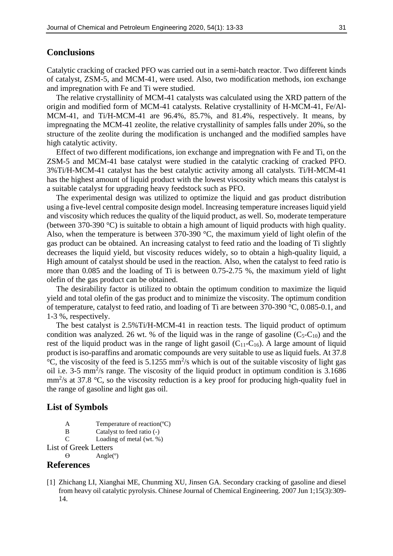## **Conclusions**

Catalytic cracking of cracked PFO was carried out in a semi-batch reactor. Two different kinds of catalyst, ZSM-5, and MCM-41, were used. Also, two modification methods, ion exchange and impregnation with Fe and Ti were studied.

The relative crystallinity of MCM-41 catalysts was calculated using the XRD pattern of the origin and modified form of MCM-41 catalysts. Relative crystallinity of H-MCM-41, Fe/Al-MCM-41, and Ti/H-MCM-41 are 96.4%, 85.7%, and 81.4%, respectively. It means, by impregnating the MCM-41 zeolite, the relative crystallinity of samples falls under 20%, so the structure of the zeolite during the modification is unchanged and the modified samples have high catalytic activity.

Effect of two different modifications, ion exchange and impregnation with Fe and Ti, on the ZSM-5 and MCM-41 base catalyst were studied in the catalytic cracking of cracked PFO. 3%Ti/H-MCM-41 catalyst has the best catalytic activity among all catalysts. Ti/H-MCM-41 has the highest amount of liquid product with the lowest viscosity which means this catalyst is a suitable catalyst for upgrading heavy feedstock such as PFO.

The experimental design was utilized to optimize the liquid and gas product distribution using a five-level central composite design model. Increasing temperature increases liquid yield and viscosity which reduces the quality of the liquid product, as well. So, moderate temperature (between 370-390 °C) is suitable to obtain a high amount of liquid products with high quality. Also, when the temperature is between 370-390 °C, the maximum yield of light olefin of the gas product can be obtained. An increasing catalyst to feed ratio and the loading of Ti slightly decreases the liquid yield, but viscosity reduces widely, so to obtain a high-quality liquid, a High amount of catalyst should be used in the reaction. Also, when the catalyst to feed ratio is more than 0.085 and the loading of Ti is between 0.75-2.75 %, the maximum yield of light olefin of the gas product can be obtained.

The desirability factor is utilized to obtain the optimum condition to maximize the liquid yield and total olefin of the gas product and to minimize the viscosity. The optimum condition of temperature, catalyst to feed ratio, and loading of Ti are between 370-390 °C, 0.085-0.1, and 1-3 %, respectively.

The best catalyst is 2.5%Ti/H-MCM-41 in reaction tests. The liquid product of optimum condition was analyzed. 26 wt. % of the liquid was in the range of gasoline  $(C_5-C_{10})$  and the rest of the liquid product was in the range of light gasoil  $(C_{11}-C_{16})$ . A large amount of liquid product is iso-paraffins and aromatic compounds are very suitable to use as liquid fuels. At 37.8  $\rm{^{\circ}C}$ , the viscosity of the feed is 5.1255 mm<sup>2</sup>/s which is out of the suitable viscosity of light gas oil i.e.  $3-5$  mm<sup>2</sup>/s range. The viscosity of the liquid product in optimum condition is  $3.1686$  $\text{mm}^2$ /s at 37.8 °C, so the viscosity reduction is a key proof for producing high-quality fuel in the range of gasoline and light gas oil.

## **List of Symbols**

- A Temperature of reaction(ºC)
- B Catalyst to feed ratio (-)
- C Loading of metal (wt. %)

List of Greek Letters

 $\Theta$  Angle( $\degree$ )

## **References**

<span id="page-18-0"></span>[1] Zhichang LI, Xianghai ME, Chunming XU, Jinsen GA. Secondary cracking of gasoline and diesel from heavy oil catalytic pyrolysis. Chinese Journal of Chemical Engineering. 2007 Jun 1;15(3):309- 14.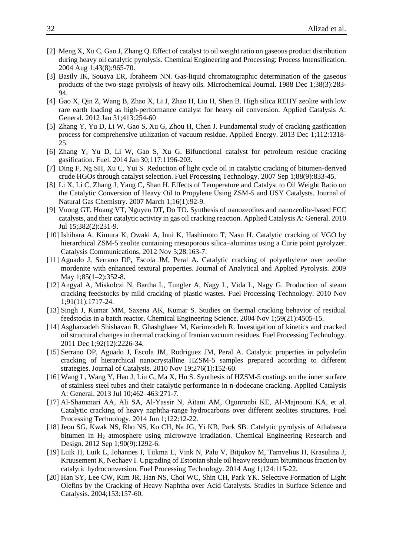- <span id="page-19-0"></span>[2] Meng X, Xu C, Gao J, Zhang Q. Effect of catalyst to oil weight ratio on gaseous product distribution during heavy oil catalytic pyrolysis. Chemical Engineering and Processing: Process Intensification. 2004 Aug 1;43(8):965-70.
- <span id="page-19-1"></span>[3] Basily IK, Souaya ER, Ibraheem NN. Gas-liquid chromatographic determination of the gaseous products of the two-stage pyrolysis of heavy oils. Microchemical Journal. 1988 Dec 1;38(3):283- 94.
- <span id="page-19-13"></span>[4] Gao X, Qin Z, Wang B, Zhao X, Li J, Zhao H, Liu H, Shen B. High silica REHY zeolite with low rare earth loading as high-performance catalyst for heavy oil conversion. Applied Catalysis A: General. 2012 Jan 31;413:254-60
- [5] Zhang Y, Yu D, Li W, Gao S, Xu G, Zhou H, Chen J. Fundamental study of cracking gasification process for comprehensive utilization of vacuum residue. Applied Energy. 2013 Dec 1;112:1318- 25.
- <span id="page-19-2"></span>[6] Zhang Y, Yu D, Li W, Gao S, Xu G. Bifunctional catalyst for petroleum residue cracking gasification. Fuel. 2014 Jan 30;117:1196-203.
- <span id="page-19-3"></span>[7] Ding F, Ng SH, Xu C, Yui S. Reduction of light cycle oil in catalytic cracking of bitumen-derived crude HGOs through catalyst selection. Fuel Processing Technology. 2007 Sep 1;88(9):833-45.
- [8] Li X, Li C, Zhang J, Yang C, Shan H. Effects of Temperature and Catalyst to Oil Weight Ratio on the Catalytic Conversion of Heavy Oil to Propylene Using ZSM-5 and USY Catalysts. Journal of Natural Gas Chemistry. 2007 March 1;16(1):92-9.
- [9] Vuong GT, Hoang VT, Nguyen DT, Do TO. Synthesis of nanozeolites and nanozeolite-based FCC catalysts, and their catalytic activity in gas oil cracking reaction. Applied Catalysis A: General. 2010 Jul 15;382(2):231-9.
- <span id="page-19-4"></span>[10] Ishihara A, Kimura K, Owaki A, Inui K, Hashimoto T, Nasu H. Catalytic cracking of VGO by hierarchical ZSM-5 zeolite containing mesoporous silica–aluminas using a Curie point pyrolyzer. Catalysis Communications. 2012 Nov 5;28:163-7.
- <span id="page-19-5"></span>[11] Aguado J, Serrano DP, Escola JM, Peral A. Catalytic cracking of polyethylene over zeolite mordenite with enhanced textural properties. Journal of Analytical and Applied Pyrolysis. 2009 May 1;85(1–2):352-8.
- [12] Angyal A, Miskolczi N, Bartha L, Tungler A, Nagy L, Vida L, Nagy G. Production of steam cracking feedstocks by mild cracking of plastic wastes. Fuel Processing Technology. 2010 Nov 1;91(11):1717-24.
- <span id="page-19-6"></span>[13] Singh J, Kumar MM, Saxena AK, Kumar S. Studies on thermal cracking behavior of residual feedstocks in a batch reactor. Chemical Engineering Science. 2004 Nov 1;59(21):4505-15.
- <span id="page-19-7"></span>[14] Asgharzadeh Shishavan R, Ghashghaee M, Karimzadeh R. Investigation of kinetics and cracked oil structural changes in thermal cracking of Iranian vacuum residues. Fuel Processing Technology. 2011 Dec 1;92(12):2226-34.
- <span id="page-19-8"></span>[15] Serrano DP, Aguado J, Escola JM, Rodriguez JM, Peral A. Catalytic properties in polyolefin cracking of hierarchical nanocrystalline HZSM-5 samples prepared according to different strategies. Journal of Catalysis. 2010 Nov 19;276(1):152-60.
- [16] Wang L, Wang Y, Hao J, Liu G, Ma X, Hu S. Synthesis of HZSM-5 coatings on the inner surface of stainless steel tubes and their catalytic performance in n-dodecane cracking. Applied Catalysis A: General. 2013 Jul 10;462–463:271-7.
- <span id="page-19-9"></span>[17] Al-Shammari AA, Ali SA, Al-Yassir N, Aitani AM, Ogunronbi KE, Al-Majnouni KA, et al. Catalytic cracking of heavy naphtha-range hydrocarbons over different zeolites structures. Fuel Processing Technology. 2014 Jun 1;122:12-22.
- <span id="page-19-10"></span>[18] Jeon SG, Kwak NS, Rho NS, Ko CH, Na JG, Yi KB, Park SB. Catalytic pyrolysis of Athabasca bitumen in H<sup>2</sup> atmosphere using microwave irradiation. Chemical Engineering Research and Design. 2012 Sep 1;90(9):1292-6.
- <span id="page-19-11"></span>[19] Luik H, Luik L, Johannes I, Tiikma L, Vink N, Palu V, Bitjukov M, Tamvelius H, Krasulina J, Kruusement K, Nechaev I. Upgrading of Estonian shale oil heavy residuum bituminous fraction by catalytic hydroconversion. Fuel Processing Technology. 2014 Aug 1;124:115-22.
- <span id="page-19-12"></span>[20] Han SY, Lee CW, Kim JR, Han NS, Choi WC, Shin CH, Park YK. Selective Formation of Light Olefins by the Cracking of Heavy Naphtha over Acid Catalysts. Studies in Surface Science and Catalysis. 2004;153:157-60.